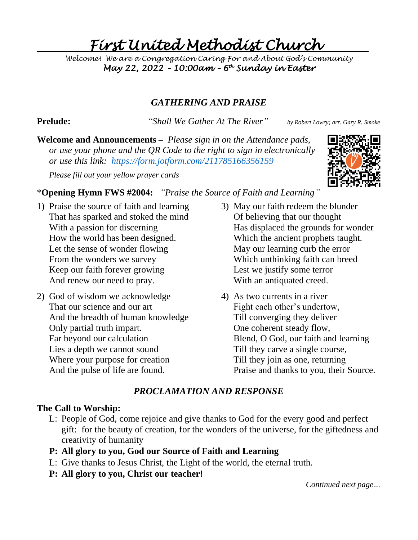# *First United Methodist Church*

*Welcome! We are a Congregation Caring For and About God's Community May 22, 2022 – 10:00am – 6 th Sunday in Easter* 

# *GATHERING AND PRAISE*

**Prelude:** *"Shall We Gather At The River" by Robert Lowry; arr. Gary R. Smoke*

**Welcome and Announcements –** *Please sign in on the Attendance pads, or use your phone and the QR Code to the right to sign in electronically or use this link: <https://form.jotform.com/211785166356159>*

*Please fill out your yellow prayer cards* 



# \***Opening Hymn FWS #2004:** *"Praise the Source of Faith and Learning"*

- 1) Praise the source of faith and learning That has sparked and stoked the mind With a passion for discerning How the world has been designed. Let the sense of wonder flowing From the wonders we survey Keep our faith forever growing And renew our need to pray.
- 2) God of wisdom we acknowledge That our science and our art And the breadth of human knowledge Only partial truth impart. Far beyond our calculation Lies a depth we cannot sound Where your purpose for creation And the pulse of life are found.
- 3) May our faith redeem the blunder Of believing that our thought Has displaced the grounds for wonder Which the ancient prophets taught. May our learning curb the error Which unthinking faith can breed Lest we justify some terror With an antiquated creed.
- 4) As two currents in a river Fight each other's undertow, Till converging they deliver One coherent steady flow, Blend, O God, our faith and learning Till they carve a single course, Till they join as one, returning Praise and thanks to you, their Source.

# *PROCLAMATION AND RESPONSE*

## **The Call to Worship:**

- L: People of God, come rejoice and give thanks to God for the every good and perfect gift: for the beauty of creation, for the wonders of the universe, for the giftedness and creativity of humanity
- **P: All glory to you, God our Source of Faith and Learning**
- L: Give thanks to Jesus Christ, the Light of the world, the eternal truth.
- **P: All glory to you, Christ our teacher!**

*Continued next page…*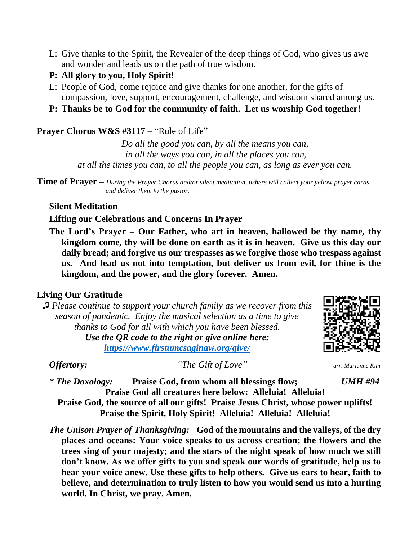L: Give thanks to the Spirit, the Revealer of the deep things of God, who gives us awe and wonder and leads us on the path of true wisdom.

### **P: All glory to you, Holy Spirit!**

- L: People of God, come rejoice and give thanks for one another, for the gifts of compassion, love, support, encouragement, challenge, and wisdom shared among us.
- **P: Thanks be to God for the community of faith. Let us worship God together!**

### **Prayer Chorus W&S #3117 –** "Rule of Life"

*Do all the good you can, by all the means you can, in all the ways you can, in all the places you can, at all the times you can, to all the people you can, as long as ever you can.*

**Time of Prayer –** *During the Prayer Chorus and/or silent meditation, ushers will collect your yellow prayer cards and deliver them to the pastor.*

### **Silent Meditation**

### **Lifting our Celebrations and Concerns In Prayer**

**The Lord's Prayer – Our Father, who art in heaven, hallowed be thy name, thy kingdom come, thy will be done on earth as it is in heaven. Give us this day our daily bread; and forgive us our trespasses as we forgive those who trespass against us. And lead us not into temptation, but deliver us from evil, for thine is the kingdom, and the power, and the glory forever. Amen.**

### **Living Our Gratitude**

♫ *Please continue to support your church family as we recover from this season of pandemic. Enjoy the musical selection as a time to give thanks to God for all with which you have been blessed. Use the QR code to the right or give online here: <https://www.firstumcsaginaw.org/give/>*



*Offertory: "The Gift of Love" arr. Marianne Kim*

*\* The Doxology:* **Praise God, from whom all blessings flow;** *UMH #94* **Praise God all creatures here below: Alleluia! Alleluia! Praise God, the source of all our gifts! Praise Jesus Christ, whose power uplifts! Praise the Spirit, Holy Spirit! Alleluia! Alleluia! Alleluia!**

*The Unison Prayer of Thanksgiving:* **God of the mountains and the valleys, of the dry places and oceans: Your voice speaks to us across creation; the flowers and the trees sing of your majesty; and the stars of the night speak of how much we still don't know. As we offer gifts to you and speak our words of gratitude, help us to hear your voice anew. Use these gifts to help others. Give us ears to hear, faith to believe, and determination to truly listen to how you would send us into a hurting world. In Christ, we pray. Amen.**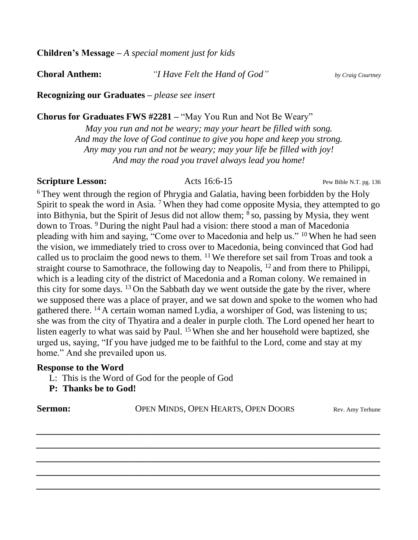**Children's Message –** *A special moment just for kids*

**Choral Anthem:** *"I Have Felt the Hand of God" by Craig Courtney*

**Recognizing our Graduates –** *please see insert*

**Chorus for Graduates FWS #2281 –** "May You Run and Not Be Weary"

*May you run and not be weary; may your heart be filled with song. And may the love of God continue to give you hope and keep you strong. Any may you run and not be weary; may your life be filled with joy! And may the road you travel always lead you home!*

### **Scripture Lesson:** Acts 16:6-15 Pew Bible N.T. pg. 136

<sup>6</sup> They went through the region of Phrygia and Galatia, having been forbidden by the Holy Spirit to speak the word in Asia.<sup>7</sup> When they had come opposite Mysia, they attempted to go into Bithynia, but the Spirit of Jesus did not allow them; <sup>8</sup> so, passing by Mysia, they went down to Troas. <sup>9</sup> During the night Paul had a vision: there stood a man of Macedonia pleading with him and saying, "Come over to Macedonia and help us." <sup>10</sup> When he had seen the vision, we immediately tried to cross over to Macedonia, being convinced that God had called us to proclaim the good news to them. <sup>11</sup> We therefore set sail from Troas and took a straight course to Samothrace, the following day to Neapolis, <sup>12</sup> and from there to Philippi, which is a leading city of the district of Macedonia and a Roman colony. We remained in this city for some days.  $^{13}$  On the Sabbath day we went outside the gate by the river, where we supposed there was a place of prayer, and we sat down and spoke to the women who had gathered there. <sup>14</sup> A certain woman named Lydia, a worshiper of God, was listening to us; she was from the city of Thyatira and a dealer in purple cloth. The Lord opened her heart to listen eagerly to what was said by Paul. <sup>15</sup> When she and her household were baptized, she urged us, saying, "If you have judged me to be faithful to the Lord, come and stay at my home." And she prevailed upon us.

### **Response to the Word**

L: This is the Word of God for the people of God

**P: Thanks be to God!**

**Sermon:** OPEN MINDS, OPEN HEARTS, OPEN DOORS Rev. Amy Terhune

*\_\_\_\_\_\_\_\_\_\_\_\_\_\_\_\_\_\_\_\_\_\_\_\_\_\_\_\_\_\_\_\_\_\_\_\_\_\_\_\_\_\_\_\_\_\_\_\_\_\_\_\_\_\_\_\_\_\_\_\_\_\_\_\_\_\_\_\_\_\_\_\_*

*\_\_\_\_\_\_\_\_\_\_\_\_\_\_\_\_\_\_\_\_\_\_\_\_\_\_\_\_\_\_\_\_\_\_\_\_\_\_\_\_\_\_\_\_\_\_\_\_\_\_\_\_\_\_\_\_\_\_\_\_\_\_\_\_\_\_\_\_\_\_\_\_*

*\_\_\_\_\_\_\_\_\_\_\_\_\_\_\_\_\_\_\_\_\_\_\_\_\_\_\_\_\_\_\_\_\_\_\_\_\_\_\_\_\_\_\_\_\_\_\_\_\_\_\_\_\_\_\_\_\_\_\_\_\_\_\_\_\_\_\_\_\_\_\_\_*

*\_\_\_\_\_\_\_\_\_\_\_\_\_\_\_\_\_\_\_\_\_\_\_\_\_\_\_\_\_\_\_\_\_\_\_\_\_\_\_\_\_\_\_\_\_\_\_\_\_\_\_\_\_\_\_\_\_\_\_\_\_\_\_\_\_\_\_\_\_\_\_\_*

*\_\_\_\_\_\_\_\_\_\_\_\_\_\_\_\_\_\_\_\_\_\_\_\_\_\_\_\_\_\_\_\_\_\_\_\_\_\_\_\_\_\_\_\_\_\_\_\_\_\_\_\_\_\_\_\_\_\_\_\_\_\_\_\_\_\_\_\_\_\_\_\_*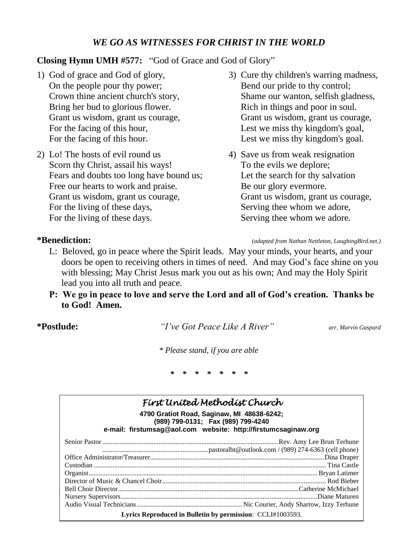# *WE GO AS WITNESSES FOR CHRIST IN THE WORLD*

## **Closing Hymn UMH #577:** "God of Grace and God of Glory"

- 1) God of grace and God of glory, On the people pour thy power; Crown thine ancient church's story, Bring her bud to glorious flower. Grant us wisdom, grant us courage, For the facing of this hour, For the facing of this hour.
- 2) Lo! The hosts of evil round us Scorn thy Christ, assail his ways! Fears and doubts too long have bound us; Free our hearts to work and praise. Grant us wisdom, grant us courage, For the living of these days, For the living of these days.
- 
- 3) Cure thy children's warring madness, Bend our pride to thy control; Shame our wanton, selfish gladness, Rich in things and poor in soul. Grant us wisdom, grant us courage, Lest we miss thy kingdom's goal, Lest we miss thy kingdom's goal.
- 4) Save us from weak resignation To the evils we deplore; Let the search for thy salvation Be our glory evermore. Grant us wisdom, grant us courage, Serving thee whom we adore, Serving thee whom we adore.

### **\*Benediction:** *(adapted from Nathan Nettleton, LaughingBird.net.)*

- L: Beloved, go in peace where the Spirit leads. May your minds, your hearts, and your doors be open to receiving others in times of need. And may God's face shine on you with blessing; May Christ Jesus mark you out as his own; And may the Holy Spirit lead you into all truth and peace.
- **P: We go in peace to love and serve the Lord and all of God's creation. Thanks be to God! Amen.**

**\*Postlude:** *"I've Got Peace Like A River" arr. Marvin Gaspard*

*\* Please stand, if you are able*

*\* \* \* \* \* \* \**

| First United Methodist Church                                                                                                                      |
|----------------------------------------------------------------------------------------------------------------------------------------------------|
| 4790 Gratiot Road, Saginaw, MI 48638-6242;<br>(989) 799-0131; Fax (989) 799-4240<br>e-mail: firstumsag@aol.com website: http://firstumcsaginaw.org |
|                                                                                                                                                    |
|                                                                                                                                                    |
|                                                                                                                                                    |
|                                                                                                                                                    |
|                                                                                                                                                    |
|                                                                                                                                                    |
|                                                                                                                                                    |
|                                                                                                                                                    |
|                                                                                                                                                    |
| Lyrics Reproduced in Bulletin by permission: CCLI#1003593.                                                                                         |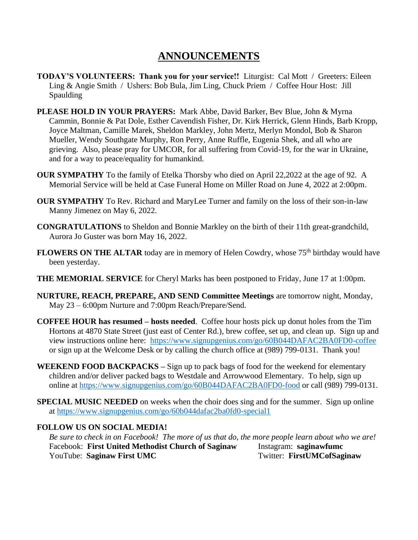# **ANNOUNCEMENTS**

- **TODAY'S VOLUNTEERS: Thank you for your service!!** Liturgist: Cal Mott / Greeters: Eileen Ling & Angie Smith / Ushers: Bob Bula, Jim Ling, Chuck Priem / Coffee Hour Host: Jill Spaulding
- **PLEASE HOLD IN YOUR PRAYERS:** Mark Abbe, David Barker, Bev Blue, John & Myrna Cammin, Bonnie & Pat Dole, Esther Cavendish Fisher, Dr. Kirk Herrick, Glenn Hinds, Barb Kropp, Joyce Maltman, Camille Marek, Sheldon Markley, John Mertz, Merlyn Mondol, Bob & Sharon Mueller, Wendy Southgate Murphy, Ron Perry, Anne Ruffle, Eugenia Shek, and all who are grieving. Also, please pray for UMCOR, for all suffering from Covid-19, for the war in Ukraine, and for a way to peace/equality for humankind.
- **OUR SYMPATHY** To the family of Etelka Thorsby who died on April 22,2022 at the age of 92. A Memorial Service will be held at Case Funeral Home on Miller Road on June 4, 2022 at 2:00pm.
- **OUR SYMPATHY** To Rev. Richard and MaryLee Turner and family on the loss of their son-in-law Manny Jimenez on May 6, 2022.
- **CONGRATULATIONS** to Sheldon and Bonnie Markley on the birth of their 11th great-grandchild, Aurora Jo Guster was born May 16, 2022.
- **FLOWERS ON THE ALTAR** today are in memory of Helen Cowdry, whose 75<sup>th</sup> birthday would have been yesterday.
- **THE MEMORIAL SERVICE** for Cheryl Marks has been postponed to Friday, June 17 at 1:00pm.
- **NURTURE, REACH, PREPARE, AND SEND Committee Meetings** are tomorrow night, Monday, May 23 – 6:00pm Nurture and 7:00pm Reach/Prepare/Send.
- **COFFEE HOUR has resumed – hosts needed**. Coffee hour hosts pick up donut holes from the Tim Hortons at 4870 State Street (just east of Center Rd.), brew coffee, set up, and clean up. Sign up and view instructions online here: <https://www.signupgenius.com/go/60B044DAFAC2BA0FD0-coffee> or sign up at the Welcome Desk or by calling the church office at (989) 799-0131. Thank you!
- **WEEKEND FOOD BACKPACKS –** Sign up to pack bags of food for the weekend for elementary children and/or deliver packed bags to Westdale and Arrowwood Elementary. To help, sign up online at<https://www.signupgenius.com/go/60B044DAFAC2BA0FD0-food> or call (989) 799-0131.
- **SPECIAL MUSIC NEEDED** on weeks when the choir does sing and for the summer. Sign up online at<https://www.signupgenius.com/go/60b044dafac2ba0fd0-special1>

### **FOLLOW US ON SOCIAL MEDIA!**

*Be sure to check in on Facebook! The more of us that do, the more people learn about who we are!* Facebook: **First United Methodist Church of Saginaw** Instagram: **saginawfumc** YouTube: Saginaw First UMC<br>
Twitter: FirstUMCofSaginaw